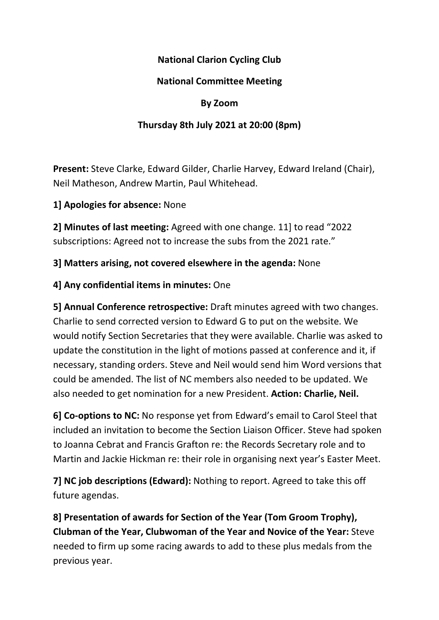## National Clarion Cycling Club

## National Committee Meeting

#### By Zoom

## Thursday 8th July 2021 at 20:00 (8pm)

Present: Steve Clarke, Edward Gilder, Charlie Harvey, Edward Ireland (Chair), Neil Matheson, Andrew Martin, Paul Whitehead.

#### 1] Apologies for absence: None

2] Minutes of last meeting: Agreed with one change. 11] to read "2022 subscriptions: Agreed not to increase the subs from the 2021 rate."

#### 3] Matters arising, not covered elsewhere in the agenda: None

#### 4] Any confidential items in minutes: One

5] Annual Conference retrospective: Draft minutes agreed with two changes. Charlie to send corrected version to Edward G to put on the website. We would notify Section Secretaries that they were available. Charlie was asked to update the constitution in the light of motions passed at conference and it, if necessary, standing orders. Steve and Neil would send him Word versions that could be amended. The list of NC members also needed to be updated. We also needed to get nomination for a new President. Action: Charlie, Neil.

6] Co-options to NC: No response yet from Edward's email to Carol Steel that included an invitation to become the Section Liaison Officer. Steve had spoken to Joanna Cebrat and Francis Grafton re: the Records Secretary role and to Martin and Jackie Hickman re: their role in organising next year's Easter Meet.

7] NC job descriptions (Edward): Nothing to report. Agreed to take this off future agendas.

8] Presentation of awards for Section of the Year (Tom Groom Trophy), Clubman of the Year, Clubwoman of the Year and Novice of the Year: Steve needed to firm up some racing awards to add to these plus medals from the previous year.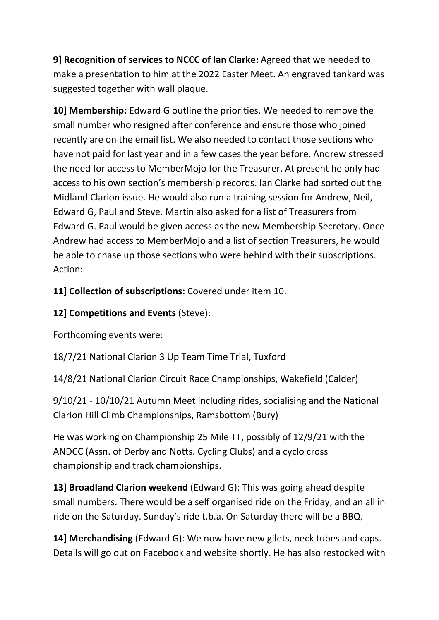9] Recognition of services to NCCC of Ian Clarke: Agreed that we needed to make a presentation to him at the 2022 Easter Meet. An engraved tankard was suggested together with wall plaque.

10] Membership: Edward G outline the priorities. We needed to remove the small number who resigned after conference and ensure those who joined recently are on the email list. We also needed to contact those sections who have not paid for last year and in a few cases the year before. Andrew stressed the need for access to MemberMojo for the Treasurer. At present he only had access to his own section's membership records. Ian Clarke had sorted out the Midland Clarion issue. He would also run a training session for Andrew, Neil, Edward G, Paul and Steve. Martin also asked for a list of Treasurers from Edward G. Paul would be given access as the new Membership Secretary. Once Andrew had access to MemberMojo and a list of section Treasurers, he would be able to chase up those sections who were behind with their subscriptions. Action:

11] Collection of subscriptions: Covered under item 10.

# 12] Competitions and Events (Steve):

Forthcoming events were:

18/7/21 National Clarion 3 Up Team Time Trial, Tuxford

14/8/21 National Clarion Circuit Race Championships, Wakefield (Calder)

9/10/21 - 10/10/21 Autumn Meet including rides, socialising and the National Clarion Hill Climb Championships, Ramsbottom (Bury)

He was working on Championship 25 Mile TT, possibly of 12/9/21 with the ANDCC (Assn. of Derby and Notts. Cycling Clubs) and a cyclo cross championship and track championships.

13] Broadland Clarion weekend (Edward G): This was going ahead despite small numbers. There would be a self organised ride on the Friday, and an all in ride on the Saturday. Sunday's ride t.b.a. On Saturday there will be a BBQ.

14] Merchandising (Edward G): We now have new gilets, neck tubes and caps. Details will go out on Facebook and website shortly. He has also restocked with